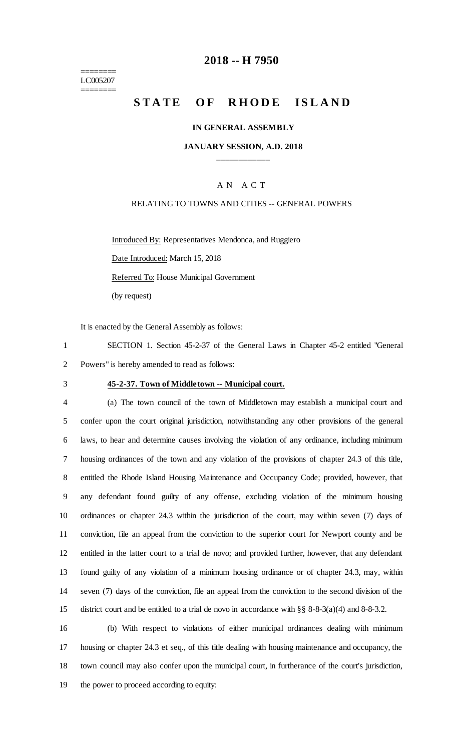======== LC005207 ========

## **2018 -- H 7950**

# STATE OF RHODE ISLAND

#### **IN GENERAL ASSEMBLY**

## **JANUARY SESSION, A.D. 2018 \_\_\_\_\_\_\_\_\_\_\_\_**

## A N A C T

## RELATING TO TOWNS AND CITIES -- GENERAL POWERS

Introduced By: Representatives Mendonca, and Ruggiero

Date Introduced: March 15, 2018

Referred To: House Municipal Government

(by request)

It is enacted by the General Assembly as follows:

1 SECTION 1. Section 45-2-37 of the General Laws in Chapter 45-2 entitled "General 2 Powers" is hereby amended to read as follows:

# 3 **45-2-37. Town of Middletown -- Municipal court.**

 (a) The town council of the town of Middletown may establish a municipal court and confer upon the court original jurisdiction, notwithstanding any other provisions of the general laws, to hear and determine causes involving the violation of any ordinance, including minimum housing ordinances of the town and any violation of the provisions of chapter 24.3 of this title, entitled the Rhode Island Housing Maintenance and Occupancy Code; provided, however, that any defendant found guilty of any offense, excluding violation of the minimum housing ordinances or chapter 24.3 within the jurisdiction of the court, may within seven (7) days of conviction, file an appeal from the conviction to the superior court for Newport county and be entitled in the latter court to a trial de novo; and provided further, however, that any defendant found guilty of any violation of a minimum housing ordinance or of chapter 24.3, may, within seven (7) days of the conviction, file an appeal from the conviction to the second division of the district court and be entitled to a trial de novo in accordance with §§ 8-8-3(a)(4) and 8-8-3.2.

 (b) With respect to violations of either municipal ordinances dealing with minimum housing or chapter 24.3 et seq., of this title dealing with housing maintenance and occupancy, the town council may also confer upon the municipal court, in furtherance of the court's jurisdiction, the power to proceed according to equity: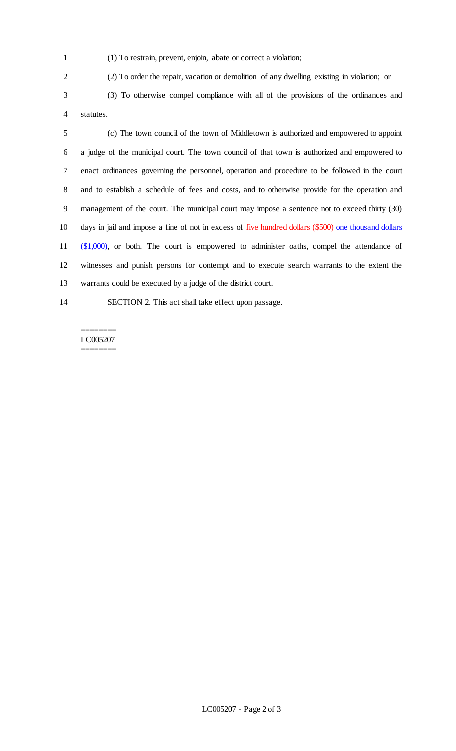- (1) To restrain, prevent, enjoin, abate or correct a violation;
- 
- (2) To order the repair, vacation or demolition of any dwelling existing in violation; or

 (3) To otherwise compel compliance with all of the provisions of the ordinances and statutes.

 (c) The town council of the town of Middletown is authorized and empowered to appoint a judge of the municipal court. The town council of that town is authorized and empowered to enact ordinances governing the personnel, operation and procedure to be followed in the court and to establish a schedule of fees and costs, and to otherwise provide for the operation and management of the court. The municipal court may impose a sentence not to exceed thirty (30) 10 days in jail and impose a fine of not in excess of <del>five hundred dollars (\$500)</del> one thousand dollars 11 (\$1,000), or both. The court is empowered to administer oaths, compel the attendance of witnesses and punish persons for contempt and to execute search warrants to the extent the warrants could be executed by a judge of the district court.

# SECTION 2. This act shall take effect upon passage.

#### ======== LC005207 ========